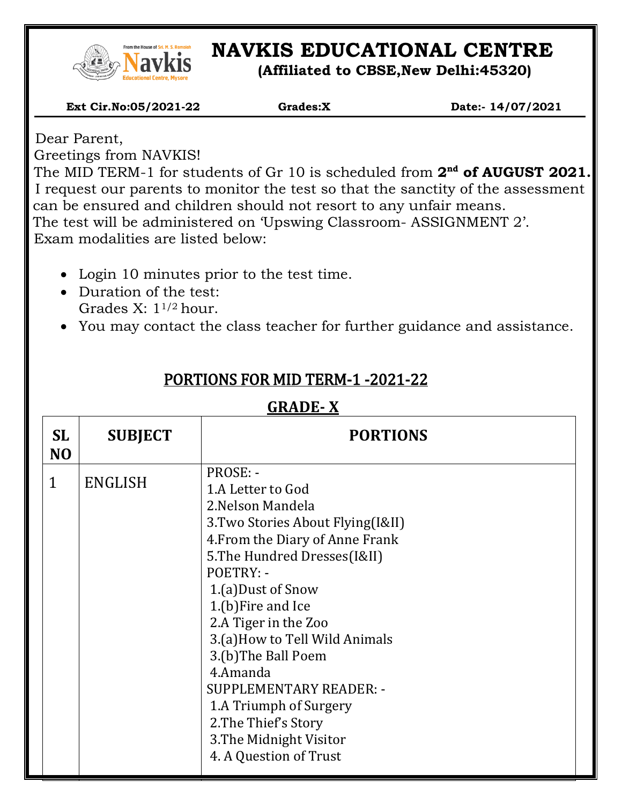

# **NAVKIS EDUCATIONAL CENTRE**

**(Affiliated to CBSE,New Delhi:45320)**

 **Ext Cir.No:05/2021-22 Grades:X Date:- 14/07/2021**

Dear Parent,

Greetings from NAVKIS!

**d** The MID TERM-1 for students of Gr 10 is scheduled from 2<sup>nd</sup> of AUGUST 2021. I request our parents to monitor the test so that the sanctity of the assessment can be ensured and children should not resort to any unfair means. The test will be administered on 'Upswing Classroom- ASSIGNMENT 2'. Exam modalities are listed below:

- Login 10 minutes prior to the test time.
- Duration of the test: Grades X: 11/2 hour.
- You may contact the class teacher for further guidance and assistance.

| SL<br>N <sub>O</sub> | <b>SUBJECT</b> | <b>PORTIONS</b>                                                                                                                                                                                                                                                                                                                                                                                                                                           |  |
|----------------------|----------------|-----------------------------------------------------------------------------------------------------------------------------------------------------------------------------------------------------------------------------------------------------------------------------------------------------------------------------------------------------------------------------------------------------------------------------------------------------------|--|
| $\mathbf{1}$         | <b>ENGLISH</b> | PROSE: -<br>1.A Letter to God<br>2. Nelson Mandela<br>3. Two Stories About Flying(I&II)<br>4. From the Diary of Anne Frank<br>5. The Hundred Dresses (I&II)<br>POETRY: -<br>1.(a) Dust of Snow<br>1.(b) Fire and Ice<br>2.A Tiger in the Zoo<br>3.(a) How to Tell Wild Animals<br>3.(b)The Ball Poem<br>4.Amanda<br><b>SUPPLEMENTARY READER: -</b><br>1.A Triumph of Surgery<br>2. The Thief's Story<br>3. The Midnight Visitor<br>4. A Question of Trust |  |

### PORTIONS FOR MID TERM-1 -2021-22

#### **GRADE- X**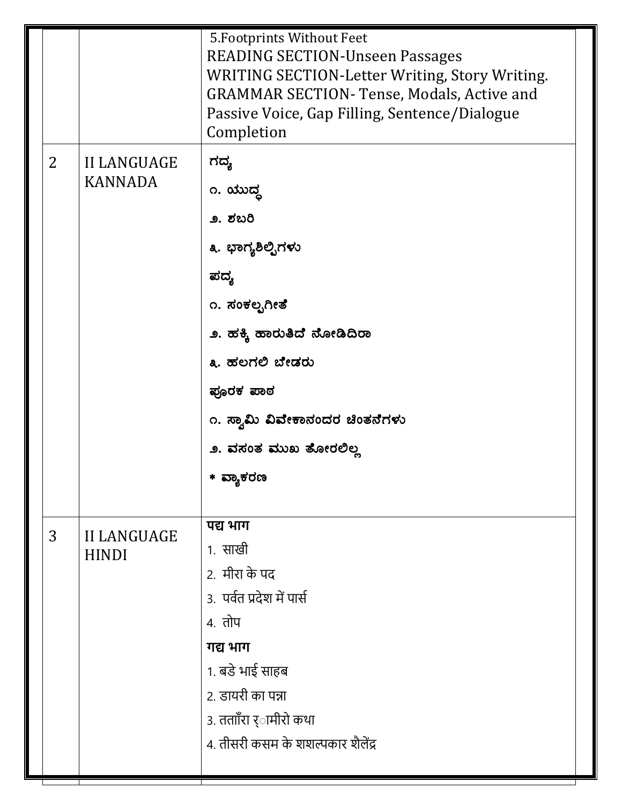|                |                                    | 5. Footprints Without Feet<br><b>READING SECTION-Unseen Passages</b><br>WRITING SECTION-Letter Writing, Story Writing.<br><b>GRAMMAR SECTION- Tense, Modals, Active and</b><br>Passive Voice, Gap Filling, Sentence/Dialogue<br>Completion |
|----------------|------------------------------------|--------------------------------------------------------------------------------------------------------------------------------------------------------------------------------------------------------------------------------------------|
| $\overline{2}$ | II LANGUAGE<br><b>KANNADA</b>      | ಗದ್ಯ<br>೧. ಯುದ್ಧ<br>೨. ಶಬರಿ<br>೩. ಭಾಗ್ಯಶಿಲ್ಪಿಗಳು<br>ಪದ್ಯ<br>೧. ಸಂಕಲ್ಪಗೀತೆ<br>೨. ಹಕ್ಕಿ ಹಾರುತಿದೆ ನೋಡಿದಿರಾ<br>೩. ಹಲಗಲಿ ಬೇಡರು<br>ಪೂರಕ ಪಾಠ<br>೧. ಸ್ವಾಮಿ ವಿವೇಕಾನಂದರ ಚಿಂತನೆಗಳು<br>೨. ವಸಂತ ಮುಖ ತೋರಲಿಲ್ಲ<br>* ವ್ಯಾಕರಣ                               |
| 3              | <b>II LANGUAGE</b><br><b>HINDI</b> | पद्य भाग<br>1. साखी<br>2. मीरा के पद<br>3. पर्वत प्रदेश में पार्स<br>4. तोप<br>गद्य भाग<br>1. बडे भाई साहब<br>2. डायरी का पन्ना<br>3. तताॉँरा र्ामीरो कथा<br>4. तीसरी कसम के शशल्पकार शैलेंद्र                                             |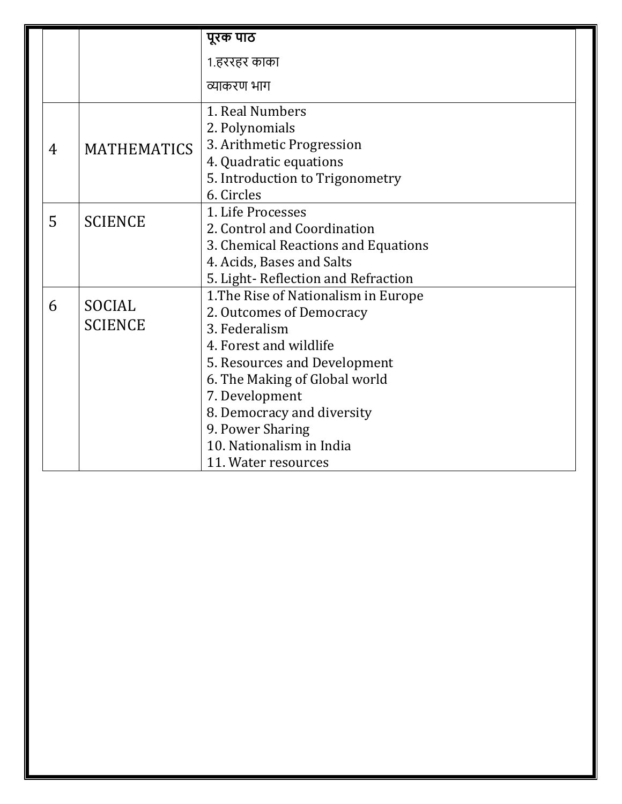|   |                                 | पूरक पाठ                             |
|---|---------------------------------|--------------------------------------|
|   |                                 | 1.हररहर काका                         |
|   |                                 | व्याकरण भाग                          |
|   | <b>MATHEMATICS</b>              | 1. Real Numbers                      |
|   |                                 | 2. Polynomials                       |
| 4 |                                 | 3. Arithmetic Progression            |
|   |                                 | 4. Quadratic equations               |
|   |                                 | 5. Introduction to Trigonometry      |
|   |                                 | 6. Circles                           |
| 5 | <b>SCIENCE</b>                  | 1. Life Processes                    |
|   |                                 | 2. Control and Coordination          |
|   |                                 | 3. Chemical Reactions and Equations  |
|   |                                 | 4. Acids, Bases and Salts            |
|   |                                 | 5. Light-Reflection and Refraction   |
| 6 | <b>SOCIAL</b><br><b>SCIENCE</b> | 1. The Rise of Nationalism in Europe |
|   |                                 | 2. Outcomes of Democracy             |
|   |                                 | 3. Federalism                        |
|   |                                 | 4. Forest and wildlife               |
|   |                                 | 5. Resources and Development         |
|   |                                 | 6. The Making of Global world        |
|   |                                 | 7. Development                       |
|   |                                 | 8. Democracy and diversity           |
|   |                                 | 9. Power Sharing                     |
|   |                                 | 10. Nationalism in India             |
|   |                                 | 11. Water resources                  |